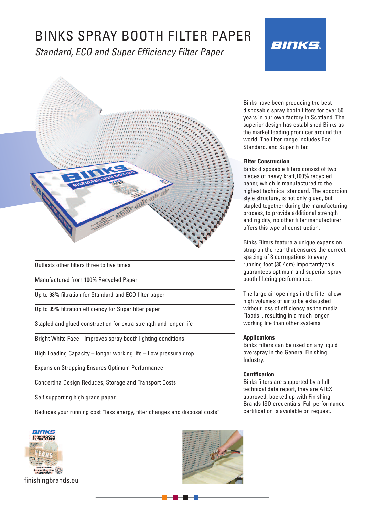# BINKS SPRAY BOOTH FILTER PAPER

*Standard, ECO and Super Efficiency Filter Paper*





Outlasts other filters three to five times

Manufactured from 100% Recycled Paper

Up to 98% filtration for Standard and ECO filter paper

Up to 99% filtration efficiency for Super filter paper

Stapled and glued construction for extra strength and longer life

Bright White Face - Improves spray booth lighting conditions

High Loading Capacity – longer working life – Low pressure drop

Expansion Strapping Ensures Optimum Performance

Concertina Design Reduces, Storage and Transport Costs

Self supporting high grade paper

Reduces your running cost "less energy, filter changes and disposal costs"





Binks have been producing the best disposable spray booth filters for over 50 years in our own factory in Scotland. The superior design has established Binks as the market leading producer around the world. The filter range includes Eco. Standard. and Super Filter.

#### **Filter Construction**

Binks disposable filters consist of two pieces of heavy kraft,100% recycled paper, which is manufactured to the highest technical standard. The accordion style structure, is not only glued, but stapled together during the manufacturing process, to provide additional strength and rigidity, no other filter manufacturer offers this type of construction.

Binks Filters feature a unique expansion strap on the rear that ensures the correct spacing of 8 corrugations to every running foot (30.4cm) importantly this guarantees optimum and superior spray booth filtering performance.

The large air openings in the filter allow high volumes of air to be exhausted without loss of efficiency as the media "loads", resulting in a much longer working life than other systems.

#### **Applications**

Binks Filters can be used on any liquid overspray in the General Finishing Industry.

#### **Certification**

Binks filters are supported by a full technical data report, they are ATEX approved, backed up with Finishing Brands ISO credentials. Full performance certification is available on request.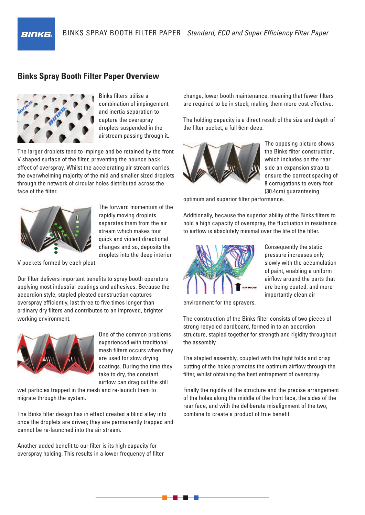# **Binks Spray Booth Filter Paper Overview**



**BINKS** 

Binks filters utilise a combination of impingement and inertia separation to capture the overspray droplets suspended in the airstream passing through it.

The larger droplets tend to impinge and be retained by the front V shaped surface of the filter, preventing the bounce back effect of overspray. Whilst the accelerating air stream carries the overwhelming majority of the mid and smaller sized droplets through the network of circular holes distributed across the face of the filter.



The forward momentum of the rapidly moving droplets separates them from the air stream which makes four quick and violent directional changes and so, deposits the droplets into the deep interior

V pockets formed by each pleat.

Our filter delivers important benefits to spray booth operators applying most industrial coatings and adhesives. Because the accordion style, stapled pleated construction captures overspray efficiently, last three to five times longer than ordinary dry filters and contributes to an improved, brighter working environment.



One of the common problems experienced with traditional mesh filters occurs when they are used for slow drying coatings. During the time they take to dry, the constant airflow can drag out the still

wet particles trapped in the mesh and re-launch them to migrate through the system.

The Binks filter design has in effect created a blind alley into once the droplets are driven; they are permanently trapped and cannot be re-launched into the air stream.

Another added benefit to our filter is its high capacity for overspray holding. This results in a lower frequency of filter change, lower booth maintenance, meaning that fewer filters are required to be in stock, making them more cost effective.

The holding capacity is a direct result of the size and depth of the filter pocket, a full 6cm deep.



The opposing picture shows the Binks filter construction, which includes on the rear side an expansion strap to ensure the correct spacing of 8 corrugations to every foot (30.4cm) guaranteeing

optimum and superior filter performance.

Additionally, because the superior ability of the Binks filters to hold a high capacity of overspray, the fluctuation in resistance to airflow is absolutely minimal over the life of the filter.



Consequently the static pressure increases only slowly with the accumulation of paint, enabling a uniform airflow around the parts that are being coated, and more importantly clean air

environment for the sprayers.

The construction of the Binks filter consists of two pieces of strong recycled cardboard, formed in to an accordion structure, stapled together for strength and rigidity throughout the assembly.

The stapled assembly, coupled with the tight folds and crisp cutting of the holes promotes the optimum airflow through the filter, whilst obtaining the best entrapment of overspray.

Finally the rigidity of the structure and the precise arrangement of the holes along the middle of the front face, the sides of the rear face, and with the deliberate misalignment of the two, combine to create a product of true benefit.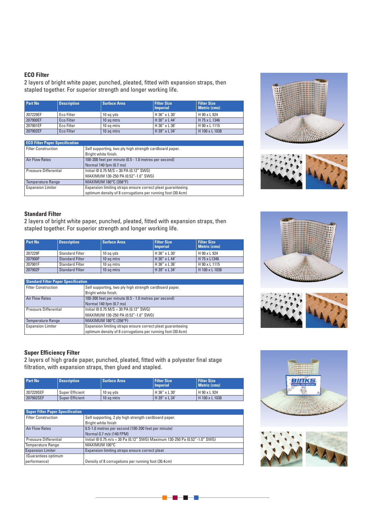# **ECO Filter**

2 layers of bright white paper, punched, pleated, fitted with expansion straps, then stapled together. For superior strength and longer working life.

| <b>Part No</b> | <b>Description</b> | <b>Surface Area</b> | <b>Filter Size</b><br><b>Imperial</b> | <b>Filter Size</b><br><b>Metric (cms)</b> |
|----------------|--------------------|---------------------|---------------------------------------|-------------------------------------------|
| 207229EF       | Eco Filter         | 10 sq yds           | H 36" x L 30'                         | H 90 x L 924                              |
| 207900EF       | Eco Filter         | 10 sq mtrs          | $H$ 30" x L 44'                       | H 75 x L 1346                             |
| 207901EF       | Eco Filter         | 10 sa mtrs          | H 36" x L 36'                         | H 90 x L 1115                             |
| 207902EF       | Eco Filter         | 10 sq mtrs          | H 39" x L 34'                         | H 100 x L 1038                            |

| <b>ECO Filter Paper Specification</b> |                                                             |
|---------------------------------------|-------------------------------------------------------------|
| <b>Filter Construction</b>            | Self supporting, two ply high strength cardboard paper.     |
|                                       | Bright white finish.                                        |
| <b>Air Flow Rates</b>                 | 100-200 feet per minute (0.5 - 1.0 metres per second)       |
|                                       | Normal 140 fpm (0.7 ms)                                     |
| Pressure Differential                 | Initial $@0.75 M/S = 30 PA (0.12" SWG)$                     |
|                                       | MAXIMUM 130-250 PA (0.52"-1.0" SWG)                         |
| <b>Temperature Range</b>              | MAXIMUM 180°C (356°F)                                       |
| <b>Expansion Limiter</b>              | Expansion limiting straps ensure correct pleat quaranteeing |
|                                       | optimum density of 8 corrugations per running foot (30.4cm) |





## **Standard Filter**

2 layers of bright white paper, punched, pleated, fitted with expansion straps, then stapled together. For superior strength and longer working life.

| <b>Part No</b><br><b>Description</b> |                        | <b>Surface Area</b> | <b>Filter Size</b><br><b>Imperial</b> | <b>Filter Size</b><br><b>Metric (cms)</b> |
|--------------------------------------|------------------------|---------------------|---------------------------------------|-------------------------------------------|
| 207229F                              | <b>Standard Filter</b> | 10 sq yds           | H 36" x L 30'                         | H 90 x L 924                              |
| 207900F                              | <b>Standard Filter</b> | 10 sq mtrs          | H 30" x L 44'                         | H 75 x L1346                              |
| 207901F                              | <b>Standard Filter</b> | 10 sa mtrs          | H 36" x L 36'                         | H 90 x L 1115                             |
| 207902F                              | <b>Standard Filter</b> | 10 sq mtrs          | H 39" x L 34'                         | H 100 x L 1038                            |

| <b>Standard Filter Paper Specification</b> |                                                             |  |  |  |
|--------------------------------------------|-------------------------------------------------------------|--|--|--|
| <b>Filter Construction</b>                 | Self supporting, two ply high strength cardboard paper.     |  |  |  |
|                                            | Bright white finish.                                        |  |  |  |
| <b>Air Flow Rates</b>                      | 100-200 feet per minute (0.5 - 1.0 metres per second)       |  |  |  |
|                                            | Normal 140 fpm (0.7 ms)                                     |  |  |  |
| Pressure Differential                      | Initial $@0.75 M/S = 30 PA$ (0.12" SWG)                     |  |  |  |
|                                            | MAXIMUM 130-250 PA (0.52"-1.0" SWG)                         |  |  |  |
| <b>Temperature Range</b>                   | MAXIMUM 180°C (356°F)                                       |  |  |  |
| <b>Expansion Limiter</b>                   | Expansion limiting straps ensure correct pleat quaranteeing |  |  |  |
|                                            | optimum density of 8 corrugations per running foot (30.4cm) |  |  |  |





## **Super Efficiency Filter**

2 layers of high grade paper, punched, pleated, fitted with a polyester final stage filtration, with expansion straps, then glued and stapled.

| Part No   | <b>Description</b>     | <b>Surface Area</b> | <b>Filter Size</b><br><b>Imperial</b> | <b>Filter Size</b><br><b>Metric (cms)</b> |  |
|-----------|------------------------|---------------------|---------------------------------------|-------------------------------------------|--|
| 207229SEF | Super Efficient        | 10 sa vds           | $H36''$ x L 30'                       | H 90 x L 924                              |  |
| 207902SEF | <b>Super Efficient</b> | 10 sa mtrs          | $H$ 39" x L 34'                       | H 100 x L 1038                            |  |

| <b>Super Filter Paper Specification</b> |                                                                            |
|-----------------------------------------|----------------------------------------------------------------------------|
| <b>Filter Construction</b>              | Self supporting, 2 ply high strength cardboard paper.                      |
|                                         | Bright white finish                                                        |
| <b>Air Flow Rates</b>                   | 0.5-1.0 metres per second (100-200 feet per minute)                        |
|                                         | Normal 0.7 m/s (140 FPM)                                                   |
| Pressure Differential                   | Initial @ 0.75 m/s = 30 Pa (0.12" SWG) Maximum 130-250 Pa (0.52"-1.0" SWG) |
| <b>Temperature Range</b>                | MAXIMUM 100°C                                                              |
| <b>Expansion Limiter</b>                | Expansion limiting straps ensure correct pleat                             |
| (Guarantees optimum                     |                                                                            |
| performance)                            | Density of 8 corrugations per running foot (30.4cm)                        |